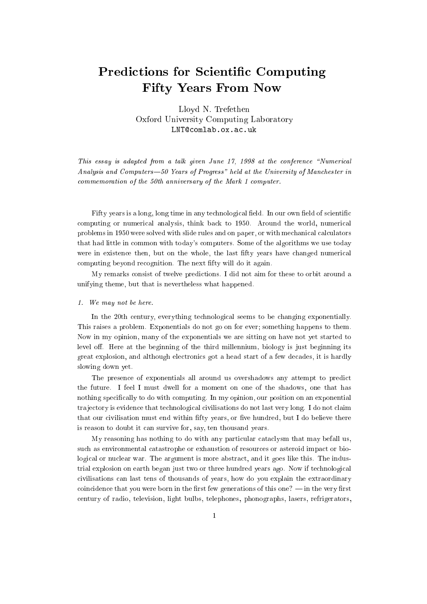# Predictions for Scientic Computing Fifty Years From Now

Lloyd N. Trefethen Oxford University Computing Laboratory LNT@comlab.ox.ac.uk

This essay is adapted from a talk given June  $17$ ,  $1998$  at the conference "Numerical Analysis and Computers—50 Years of Progress" held at the University of Manchester in commemoration of the 50th anniversary of the Mark 1 computer.

Fifty years is a long, long time in any technological field. In our own field of scientific computing or numerical analysis, think back to 1950. Around the world, numerical problems in 1950 were solved with slide rules and on paper, or with mechanical calculators that had little in common with today's computers. Some of the algorithms we use today were in existence then, but on the whole, the last fty years have changed numerical computing beyond recognition. The next fty will do it again.

My remarks consist of twelve predictions. I did not aim for these to orbit around a unifying theme, but that is nevertheless what happened.

#### 1. We may not be here.

In the 20th century, everything technological seems to be changing exponentially. This raises a problem. Exponentials do not go on for ever; something happens to them. Now in my opinion, many of the exponentials we are sitting on have not yet started to level off. Here at the beginning of the third millennium, biology is just beginning its great explosion, and although electronics got a head start of a few decades, it is hardly slowing down yet.

The presence of exponentials all around us overshadows any attempt to predict the future. I feel I must dwell for a moment on one of the shadows, one that has nothing specifically to do with computing. In my opinion, our position on an exponential tra jectory is evidence that technological civilisations do not last very long. I do not claim that our civilisation must end within fifty years, or five hundred, but I do believe there is reason to doubt it can survive for, say, ten thousand years.

My reasoning has nothing to do with any particular cataclysm that may befall us, such as environmental catastrophe or exhaustion of resources or asteroid impact or biological or nuclear war. The argument is more abstract, and it goes like this. The industrial explosion on earth began just two or three hundred years ago. Now if technological civilisations can last tens of thousands of years, how do you explain the extraordinary coincidence that you were born in the first few generations of this one?  $\frac{1}{2}$  in the very first century of radio, television, light bulbs, telephones, phonographs, lasers, refrigerators,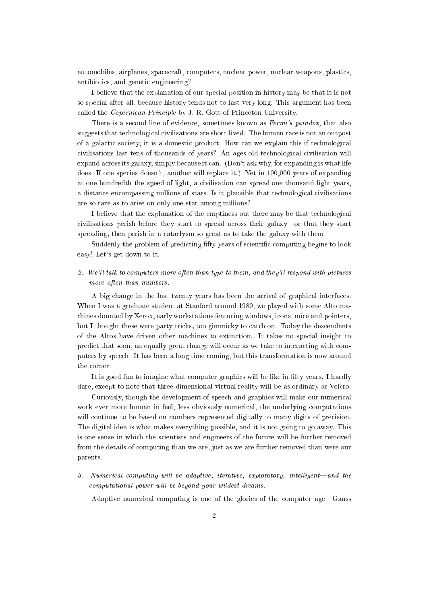automobiles, airplanes, spacecraft, computers, nuclear power, nuclear weapons, plastics, antibiotics, and genetic engineering?

I believe that the explanation of our special position in history may be that it is not so special after all, because history tends not to last very long. This argument has been called the Copernican Principle by J. R. Gott of Princeton University.

There is a second line of evidence, sometimes known as *Fermi's paradox*, that also suggests that technological civilisations are short-lived. The human race is not an outpost of a galactic society; it is a domestic product. How can we explain this if technological civilisations last tens of thousands of years? An ages-old technological civilisation will expand across its galaxy, simply because it can. (Don't ask why, for expanding is what life does. If one species doesn't, another will replace it.) Yet in 100,000 years of expanding at one hundredth the speed of light, a civilisation can spread one thousand light years, a distance encompassing millions of stars. Is it plausible that technological civilisations are so rare as to arise on only one star among millions?

I believe that the explanation of the emptiness out there may be that technological civilisations perish before they start to spread across their galaxy-or that they start spreading, then perish in a cataclysm so great as to take the galaxy with them.

Suddenly the problem of predicting fifty years of scientific computing begins to look easy! Let's get down to it.

### 2. We'll talk to computers more often than type to them, and they'll respond with pictures more often than numbers.

A big change in the last twenty years has been the arrival of graphical interfaces. When I was a graduate student at Stanford around 1980, we played with some Alto machines donated by Xerox, early workstations featuring windows, icons, mice and pointers, but I thought these were party tricks, too gimmicky to catch on. Today the descendants of the Altos have driven other machines to extinction. It takes no special insight to predict that soon, an equally great change will occur as we take to interacting with computers by speech. It has been a long time coming, but this transformation is now around the corner.

It is good fun to imagine what computer graphics will be like in fty years. I hardly dare, except to note that three-dimensional virtual reality will be as ordinary as Velcro.

Curiously, though the development of speech and graphics will make our numerical work ever more human in feel, less obviously numerical, the underlying computations will continue to be based on numbers represented digitally to many digits of precision. The digital idea is what makes everything possible, and it is not going to go away. This is one sense in which the scientists and engineers of the future will be further removed from the details of computing than we are, just as we are further removed than were our parents.

 $3.$  Numerical computing will be adaptive, iterative, exploratory, intelligent—and the computational power will be beyond your wildest dreams.

Adaptive numerical computing is one of the glories of the computer age. Gauss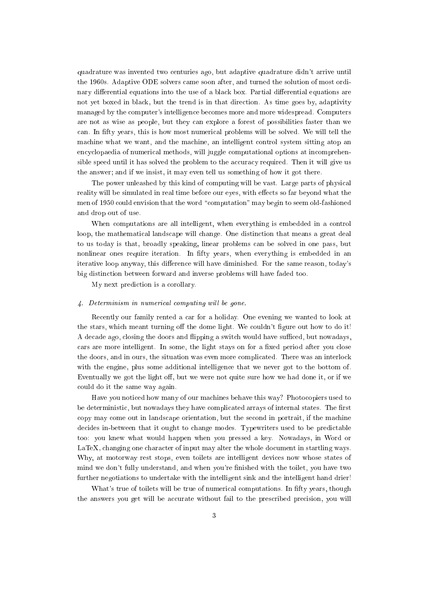quadrature was invented two centuries ago, but adaptive quadrature didn't arrive until the 1960s. Adaptive ODE solvers came soon after, and turned the solution of most ordinary differential equations into the use of a black box. Partial differential equations are not yet boxed in black, but the trend is in that direction. As time goes by, adaptivity managed by the computer's intelligence becomes more and more widespread. Computers are not as wise as people, but they can explore a forest of possibilities faster than we can. In fty years, this is how most numerical problems will be solved. We will tell the machine what we want, and the machine, an intelligent control system sitting atop an encyclopaedia of numerical methods, will juggle computational options at incomprehensible speed until it has solved the problem to the accuracy required. Then it will give us the answer; and if we insist, it may even tell us something of how it got there.

The power unleashed by this kind of computing will be vast. Large parts of physical reality will be simulated in real time before our eyes, with effects so far beyond what the men of 1950 could envision that the word "computation" may begin to seem old-fashioned and drop out of use.

When computations are all intelligent, when everything is embedded in a control loop, the mathematical landscape will change. One distinction that means a great deal to us today is that, broadly speaking, linear problems can be solved in one pass, but nonlinear ones require iteration. In fifty years, when everything is embedded in an iterative loop anyway, this difference will have diminished. For the same reason, today's big distinction between forward and inverse problems will have faded too.

My next prediction is a corollary.

#### 4. Determinism in numerical computing will be gone.

Recently our family rented a car for a holiday. One evening we wanted to look at the stars, which meant turning off the dome light. We couldn't figure out how to do it! A decade ago, closing the doors and flipping a switch would have sufficed, but nowadays, cars are more intelligent. In some, the light stays on for a fixed period after you close the doors, and in ours, the situation was even more complicated. There was an interlock with the engine, plus some additional intelligence that we never got to the bottom of. Eventually we got the light off, but we were not quite sure how we had done it, or if we could do it the same way again.

Have you noticed how many of our machines behave this way? Photocopiers used to be deterministic, but nowadays they have complicated arrays of internal states. The first copy may come out in landscape orientation, but the second in portrait, if the machine decides in-between that it ought to change modes. Typewriters used to be predictable too: you knew what would happen when you pressed a key. Nowadays, in Word or LaTeX, changing one character of input may alter the whole document in startling ways. Why, at motorway rest stops, even toilets are intelligent devices now whose states of mind we don't fully understand, and when you're finished with the toilet, you have two further negotiations to undertake with the intelligent sink and the intelligent hand drier!

What's true of toilets will be true of numerical computations. In fifty years, though the answers you get will be accurate without fail to the prescribed precision, you will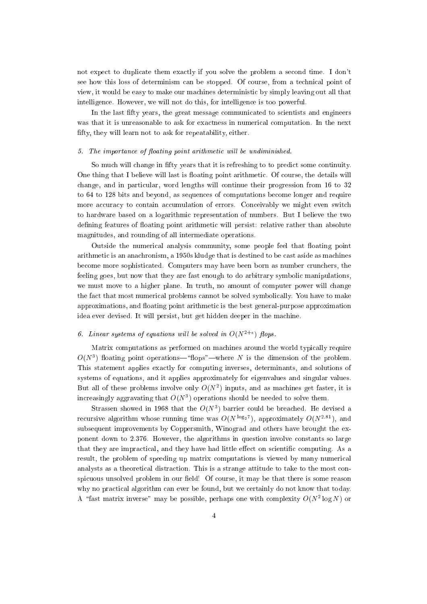not expect to duplicate them exactly if you solve the problem a second time. I don't see how this loss of determinism can be stopped. Of course, from a technical point of view, it would be easy to make our machines deterministic by simply leaving out all that intelligence. However, we will not do this, for intelligence is too powerful.

In the last fty years, the great message communicated to scientists and engineers was that it is unreasonable to ask for exactness in numerical computation. In the next fifty, they will learn not to ask for repeatability, either.

#### 5. The importance of floating point arithmetic will be undiminished.

So much will change in fifty years that it is refreshing to to predict some continuity. One thing that I believe will last is floating point arithmetic. Of course, the details will change, and in particular, word lengths will continue their progression from 16 to 32 to 64 to 128 bits and beyond, as sequences of computations become longer and require more accuracy to contain accumulation of errors. Conceivably we might even switch to hardware based on a logarithmic representation of numbers. But I believe the two defining features of floating point arithmetic will persist: relative rather than absolute magnitudes, and rounding of all intermediate operations.

Outside the numerical analysis community, some people feel that floating point arithmetic is an anachronism, a 1950s kludge that is destined to be cast aside as machines become more sophisticated. Computers may have been born as number crunchers, the feeling goes, but now that they are fast enough to do arbitrary symbolic manipulations, we must move to a higher plane. In truth, no amount of computer power will change the fact that most numerical problems cannot be solved symbolically. You have to make approximations, and floating point arithmetic is the best general-purpose approximation idea ever devised. It will persist, but get hidden deeper in the machine.

#### $\emph{b. Linear systems}$  of equations will be solved in  $O(N^{2}+1)$  flops.

Matrix computations as performed on machines around the world typically require  $O(N^*)$  noating point operations— nops —where  $N$  is the dimension of the problem. This statement applies exactly for computing inverses, determinants, and solutions of systems of equations, and it applies approximately for eigenvalues and singular values.  $_{\rm{Dul}}$  an of these problems involve only  $O(N^2)$  inputs, and as machines get faster, it is increasingly aggravating that  $O(N^2)$  operations should be needed to solve them.

 $_{\text{SUT}}$ assen showed in 1968 that the  $O(N^2)$  barrier could be breached. He devised a recursive algorithm whose running time was O(N <sup>-62</sup>7), approximately O(N <sup>-17</sup>), and subsequent improvements by Coppersmith, Winograd and others have brought the exponent down to 2.376. However, the algorithms in question involve constants so large that they are impractical, and they have had little effect on scientific computing. As a result, the problem of speeding up matrix computations is viewed by many numerical analysts as a theoretical distraction. This is a strange attitude to take to the most conspicuous unsolved problem in our field! Of course, it may be that there is some reason why no practical algorithm can ever be found, but we certainly do not know that today. A - Tast matrix inverse - may be possible, perhaps one with complexity  $O(N^2N^2)$  or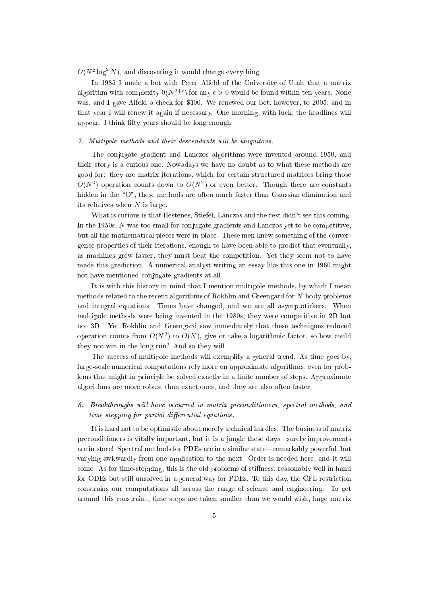$O(N^2 \log^2 N)$ , and discovering it would change everything.

In 1985 I made a bet with Peter Alfeld of the University of Utah that a matrix algorithm with complexity  $0(N^{\ast + \epsilon})$  for any  $\epsilon > 0$  would be found within ten years. None was, and I gave Alfeld a check for \$100. We renewed our bet, however, to 2005, and in that year I will renew it again if necessary. One morning, with luck, the headlines will appear. I think fifty years should be long enough.

#### 7. Multipole methods and their descendants will be ubiquitous.

The conjugate gradient and Lanczos algorithms were invented around 1950, and their story is a curious one. Nowadays we have no doubt as to what these methods are good for: they are matrix iterations, which for certain structured matrices bring those  $O(N^2)$  operation counts down to  $O(N^2)$  or even better. Though there are constants hidden in the "O", these methods are often much faster than Gaussian elimination and its relatives when  $N$  is large.

What is curious is that Hestenes, Stiefel, Lanczos and the rest didn't see this coming. In the 1950s, <sup>N</sup> was too small for conjugate gradients and Lanczos yet to be competitive, but all the mathematical pieces were in place. These men knew something of the convergence properties of their iterations, enough to have been able to predict that eventually, as machines grew faster, they must beat the competition. Yet they seem not to have made this prediction. A numerical analyst writing an essay like this one in 1960 might not have mentioned conjugate gradients at all.

It is with this history in mind that I mention multipole methods, by which I mean methods related to the recent algorithms of Rokhlin and Greengard for N-body problems and integral equations. Times have changed, and we are all asymptotickers. When multipole methods were being invented in the 1980s, they were competitive in 2D but not 3D. Yet Rokhlin and Greengard saw immediately that these techniques reduced operation counts from  $O(N^2)$  to  $O(N)$ , give or take a logarithmic factor, so now could they not win in the long run? And so they will.

The success of multipole methods will exemplify a general trend. As time goes by, large-scale numerical computations rely more on approximate algorithms, even for problems that might in principle be solved exactly in a finite number of steps. Approximate algorithms are more robust than exact ones, and they are also often faster.

8. Breakthroughs wil l have occurred in matrix preconditioners, spectral methods, and  $time$  stepping for partial differential equations.

It is hard not to be optimistic about merely technical hurdles. The business of matrix preconditioners is vitally important, but it is a jungle these days—surely improvements are in store! Spectral methods for PDEs are in a similar state—remarkably powerful, but varying awkwardly from one application to the next. Order is needed here, and it will come. As for time-stepping, this is the old problems of stiffness, reasonably well in hand for ODEs but still unsolved in a general way for PDEs. To this day, the CFL restriction constrains our computations all across the range of science and engineering. To get around this constraint, time steps are taken smaller than we would wish, huge matrix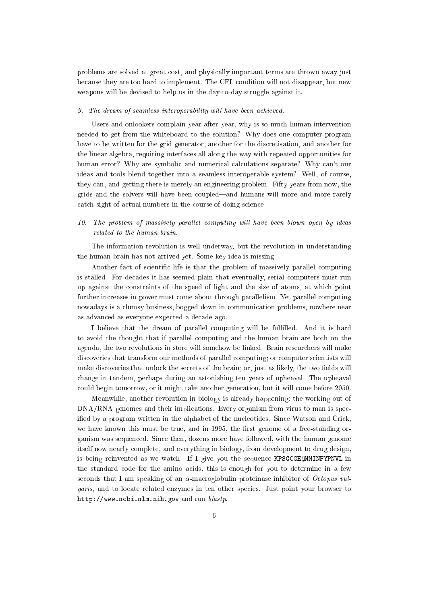problems are solved at great cost, and physically important terms are thrown away just because they are too hard to implement. The CFL condition will not disappear, but new weapons will be devised to help us in the day-to-day struggle against it.

#### 9. The dream of seamless interoperability will have been achieved.

Users and onlookers complain year after year, why is so much human intervention needed to get from the whiteboard to the solution? Why does one computer program have to be written for the grid generator, another for the discretisation, and another for the linear algebra, requiring interfaces all along the way with repeated opportunities for human error? Why are symbolic and numerical calculations separate? Why can't our ideas and tools blend together into a seamless interoperable system? Well, of course, they can, and getting there is merely an engineering problem. Fifty years from now, the grids and the solvers will have been coupled|and humans will more and more rarely catch sight of actual numbers in the course of doing science.

## $10.$  The problem of massively parallel computing will have been blown open by ideas related to the human brain.

The information revolution is well underway, but the revolution in understanding the human brain has not arrived yet. Some key idea is missing.

Another fact of scientic life is that the problem of massively parallel computing is stalled. For decades it has seemed plain that eventually, serial computers must run up against the constraints of the speed of light and the size of atoms, at which point further increases in power must come about through parallelism. Yet parallel computing nowadays is a clumsy business, bogged down in communication problems, nowhere near as advanced as everyone expected a decade ago.

I believe that the dream of parallel computing will be fulfilled. And it is hard to avoid the thought that if parallel computing and the human brain are both on the agenda, the two revolutions in store will somehow be linked. Brain researchers will make discoveries that transform our methods of parallel computing; or computer scientists will make discoveries that unlock the secrets of the brain; or, just as likely, the two fields will change in tandem, perhaps during an astonishing ten years of upheaval. The upheaval could begin tomorrow, or it might take another generation, but it will come before 2050.

Meanwhile, another revolution in biology is already happening: the working out of DNA/RNA genomes and their implications. Every organism from virus to man is specied by a program written in the alphabet of the nucleotides. Since Watson and Crick, we have known this must be true, and in  $1995$ , the first genome of a free-standing organism was sequenced. Since then, dozens more have followed, with the human genome itself now nearly complete, and everything in biology, from development to drug design, is being reinvented as we watch. If I give you the sequence KPSGCGEQNMINFYPNVL in the standard code for the amino acids, this is enough for you to determine in a few seconds that I am speaking of an  $\alpha$ -macroglobulin proteinase inhibitor of *Octopus vul*garis, and to locate related enzymes in ten other species. Just point your browser to http://www.ncbi.nlm.nih.gov and run blastp.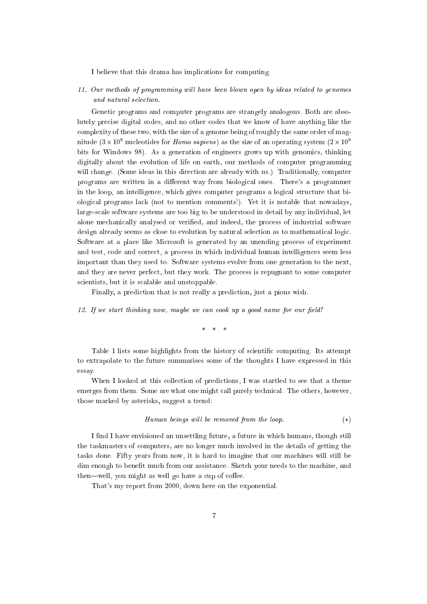I believe that this drama has implications for computing.

11. Our methods of programming wil l have been blown open by ideas related to genomes and natural selection.

Genetic programs and computer programs are strangely analogous. Both are absolutely precise digital codes, and no other codes that we know of have anything like the complexity of these two, with the size of a genome being of roughly the same order of magmude (5  $\times$  10° nucleotides for *Homo sapiens)* as the size of an operating system (2  $\times$  10° bits for Windows 98). As a generation of engineers grows up with genomics, thinking digitally about the evolution of life on earth, our methods of computer programming will change. (Some ideas in this direction are already with us.) Traditionally, computer programs are written in a different way from biological ones. There's a programmer in the loop, an intelligence, which gives computer programs a logical structure that biological programs lack (not to mention comments!). Yet it is notable that nowadays, large-scale software systems are too big to be understood in detail by any individual, let alone mechanically analysed or veried, and indeed, the process of industrial software design already seems as close to evolution by natural selection as to mathematical logic. Software at a place like Microsoft is generated by an unending process of experiment and test, code and correct, a process in which individual human intelligences seem less important than they used to. Software systems evolve from one generation to the next, and they are never perfect, but they work. The process is repugnant to some computer scientists, but it is scalable and unstoppable.

Finally, a prediction that is not really a prediction, just a pious wish.

12. If we start thinking now, maybe we can cook up a good name for our field!

 $* * * *$ 

Table 1 lists some highlights from the history of scientic computing. Its attempt to extrapolate to the future summarises some of the thoughts I have expressed in this essay.

When I looked at this collection of predictions, I was startled to see that a theme emerges from them. Some are what one might call purely technical. The others, however, those marked by asterisks, suggest a trend:

$$
Human\,\,beings\,\,will\,\,be\,\,removed\,\,from\,\,the\,\,loop.\tag{(*)}
$$

I find I have envisioned an unsettling future, a future in which humans, though still the taskmasters of computers, are no longer much involved in the details of getting the tasks done. Fifty years from now, it is hard to imagine that our machines will still be dim enough to benet much from our assistance. Sketch your needs to the machine, and then—well, you might as well go have a cup of coffee.

That's my report from 2000, down here on the exponential.